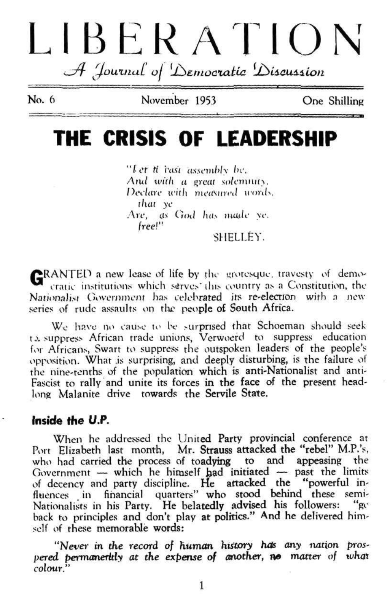# LIBERATION A Journal of Democratic Discussion

No. 6

November 1953

One Shilling

### THE CRISIS OF LEADERSHIP

"Let ti rasi assembly be. And with a great solemnity. Declare with measured words. that ye Are, as God has made ye. free!" SHELLEY.

GRANTED a new lease of life by the grotesque, travesty of demo-<br>cratic institutions which serves this country as a Constitution, the Nationalist Government has celebrated its re-election with a new series of rude assaults on the people of South Africa.

We have no cause to be surprised that Schoeman should seek ta suppress African trade unions, Verwoerd to suppress education for Africans, Swart to suppress the outspoken leaders of the people's opposition. What is surprising, and deeply disturbing, is the failure of the nine-tenths of the population which is anti-Nationalist and anti-Fascist to rally and unite its forces in the face of the present headlong Malanite drive towards the Servile State.

#### Inside the U.P.

When he addressed the United Party provincial conference at Port Elizabeth last month, Mr. Strauss attacked the "rebel" M.P.'s, who had carried the process of toadying to and appeasing the Government - which he himself had initiated - past the limits of decency and party discipline. He artacked the "powerful in-<br>fluences in financial quarters" who stood behind these semi-Nationalists in his Party. He belatedly advised his followers: "ge back to principles and don't play at politics." And he delivered himself of these memorable words:

"Never in the record of human history has any nation prospered permanently at the expense of another, no matter of what colour."

1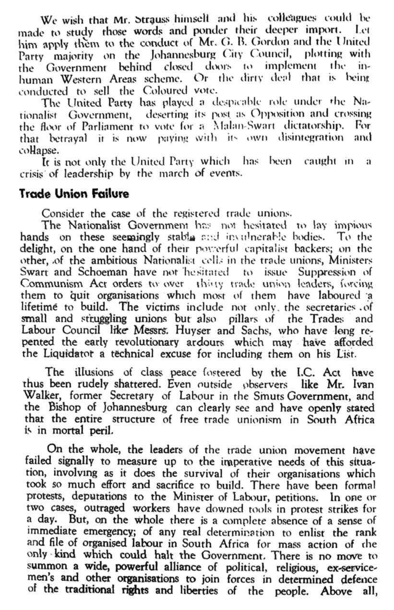We wish that Mr. Strauss himself and his colleagues could be made to study those words and ponder their deeper import. Let him apply them to the conduct of Mr. G. B. Gordon and the United Party majority on the Johannesburg City Council, plotting with the Government behind closed doors to implement the inhuman Western Areas scheme. Or the dirty deal that is being conducted to sell the Coloured vote.

The United Party has played a despicable role under rhc Nationalist Government, deserting its post as Opposition and crossing the floor of Parliament to vote for a Malan-Swart dictatorship. For that betrayal it is now paying with its own disintegration and collapse.

It is not only the United Party which has been caught in a crisis of leadership by the march of events.

#### **Trade Union Failure**

Consider the case of the registered trade unions.

The Nationalist Governmem has not hesitated to lay impious hands on these seemingly stable and invulnerable bodies. To the delight, on the one hand of their powerful capitalist backers; on the other, of the ambitious Nationalist cells in the trade unions, Ministers Swart and Schoeman have not hesitated to issue Suppression of Communism Act orders to over thing trade union leaders, forcing them to quit organisations which most of them have laboured a lifetime to build. The victims include not only, the secretaries .of small and struggling unions but also pillars of the Trades and Labour Council like Messrs. Huyser and Sachs, who have long repented the early revolutionary ardours which may have afforded the Liquidator a technical excuse for including them on his List.

The illusions of class peace fostered by the l.C. Act have thus been rudely shattered. Even outside observers like Mr. Ivan Walker, former Secretary of Labour in the Smuts Government, and the Bishop of Johannesburg can clearly see and have openly stated that the entire structure of free trade unionism in South Africa is in mortal peril.

On the whole, the leaders of the trade union movement have failed signally to measure up to the imperative needs of this situation, involving as it does the survival of their organisations which took so much effort and sacrifice ro build. There have been formal protests, deputations to the Minister of Labour, petitions. In one or two cases, outraged workers have downed tools in protest strikes for a day. But, on the whole there js a complete absence of a sense of immediate emergency; of any real determination to enlist the rank and file of organised labour in South Africa for mass action of the only kind which could halt the Government. There is no move to summon a wide, powerful alliance of political, religious, ex-servicemen's and other organisations to join forces in determined defence of the traditional rights and liberties of the people. Above all,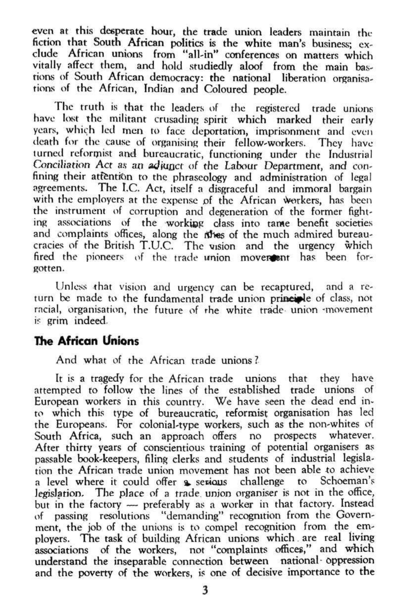even at this desperate hour, the trade union leaders maintain the fiction that South African politics is the white man's business; exclude African unions from "all-in" conferences on matters which vitally affect them, and hold studiedly aloof from the main bastions of South African democracy: the national liberation organisations of the African, Indian and Coloured people.

Unless that vision and urgency can be recaptured, and a return be made to the fundamental trade union principle of class, not racial, organisation, the future of the white trade union -movement is grim indeed.

The truth is that the leaders of the registered trade unions have lost the militant crusading spirit which marked their early years, which led men to face deportation, imprisonment and even death for the cause of organising their fellow-workers. They have turned reformist and bureaucratic, functioning under the Industrial Conciliation Act as an adjunct of the Labour Department, and confining their atfention to the phraseology and administration of legal agreements. The I.C. Act, itself a disgraceful and immoral bargain with the employers at the expense of the African workers, has been the instrument of corruption and degeneration of the former fighting associations of the working class into tame benefit societies and complaints offices, along the rines of the much admired bureaucracies of the British T.U.C. The vision and the urgency which fired the pioneers of the trade union mover and has been forgotten.

#### **The African Unions**

And what of the African trade unions ?

It is a tragedy for the African trade unions that they have attempted to follow the lines of the established trade unions of European workers in this country. We have seen the dead end into which this type of bureaucratic, reformist organisation has led the Europeans. For colonial-type workers, such as the non-whites of South Africa, such an approach offers no prospects whatever. After thirty years of conscientious training of potential organisers as passable book-keepers, filing clerks and students of industrial legislation the African trade union movement has not been able to achieve a level where it could offer *%* sewous challenge to Schoeman's legislation. The place of a trade union organiser is not in the office, but in the factory — preferably as a worker in that factory. Instead of passing resolutions "demanding" recognition from the Government, the job of the unions is to compel recognition from the employers. The task of building African unions which are real living associations of the workers, not "complaints offices," and which understand the inseparable connection between national- oppression and the poverty of the workers, is one of decisive importance to the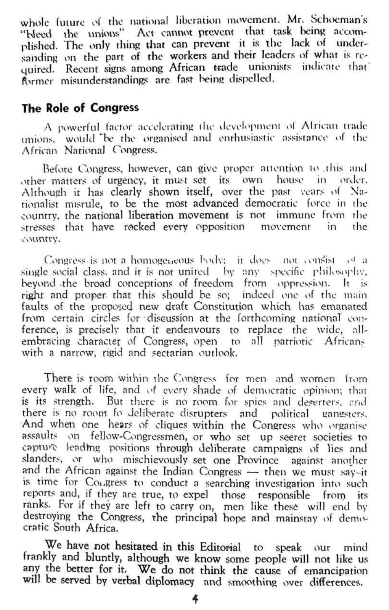whole future of the national liberation movement. Mr. Schoeman's "Weed the unions" Act cannot prevent that task being accomplished. The only thing that can prevent it is the lack of undersanding *on* the part of the workers and their leaders of what is required. Recent signs among African trade unionists indicate that former misunderstandings are fast being dispelled.

#### **The Role of Congress**

A powerful factor accelerating the development ol African trade unions, would "he the organised and enthusiastic assistance of the African National Congress.

Before Congress, however, can give proper attention 10 .this and other matters of urgency, it must set its own house in order. Although it has clearly shown itself, over the past vears of Nationalist misrule, to be the most advanced democratic force in the country, the national liberation movement is not immune from the stresses that have rocked every opposition movement in the country.

Congrèss is not a homogeneous body; it does not consist of a single social class, and it is not united by any specific philosophy, beyond -the broad conceptions of freedom from oppression. It is right and proper that this should be so; indeed *one* of the main faults of the proposed new draft Constitution which has emanated from certain circles for discussion at the forthcoming national conference, is precisely that it endeavours to replace the wide, allembracing character of Congress, open to all patriotic Africans with a narrow, rigid and sectarian outlook.

We have not hesitated in this Editorial to speak our mind frankly and bluntly, although we know some people will not like us any the better for it. We do not think the cause of emancipation will be served by verbal diplomacy and smoothing over differences.

There is room within the Congress for men and women from every walk of life, and of every shade of democratic opinion; that is its strength. But there is no room for spies and deserters, and there is no room fo deliberate disrupters and political uanssters. And when one hears of cliques within the Congress who organise assaults on fellow-Congressmen, or who set up seeret societies to capture leading positions through deliberate campaigns of lies and slanders, or who mischievously set one Province against another and the African against the Indian Congress — then we must say-it is time for Congress to conduct a searching investigation into such reports and if they are true, to expell those responsible from its reports and, a they are true, to expert those responsible from the ranks. For if they are left to carry on, men like these will end by destroying the Congress, the principal hope and mainstay of democratic South Africa.

**4**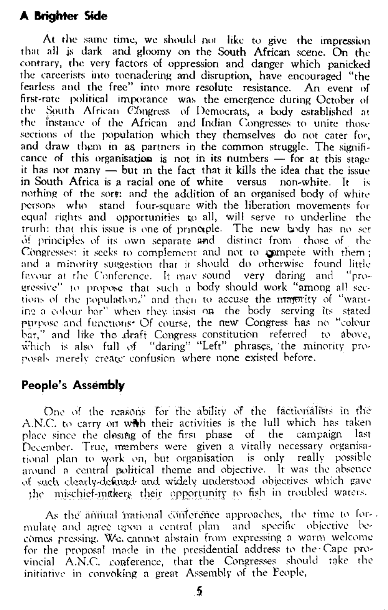#### **A Brighter Side**

At the same time, we should not like to give the impression that all is dark and gloomy on the South African scene. On the contrary, the very factors of oppression and danger which panicked the careerists into tocnadering and disruption, have encouraged "the fearless and the free" into more resolute resistance. An event of first-rate political imporancc was the emergence during October of the South African Congress of Democrats, a body established at the instance of the African and Indian Congresses to unite those sections of the population which they themselves do not cater for, and draw them in as partners in the common struggle. The significance of this organisation is not in its numbers  $-$  for at this stage it has not many — but in the fact that it kills the idea that the issue in South Africa is a racial one of white versus non-white. It is nothing of the sore: and the addition of an organised body of white persons who stand four-square with the liberation movements for equal rights and opportunities to all, will serve to underline the trurh: that this issue is one of principle. The new body has no set of principles of its own separate and distinct from those of the Congresses: it seeks to complement and not to compete with them; and a minority suggestion that it should do otherwise found little favour at the Conference. It may sound very daring and "progressive" to propose that such a body should work "among all seccrossed and propose that such a root, should work among an sec-<br>tions of the population." and then to accuse the <del>magn</del>ity of "wanting a colour bar" when they insist on the body serving its stated purpose and functions\* Of course, the new Congress has no "colour bar," and like the draft Congress constitution referred to above, which is also full of "daring" "Left" phrases, the minority proposals merely create confusion where none existed before.

One of the reasons for the ability of the factionalists in the A.N.C. to carry on with their activities is the lull which has taken place since the closing of the first phase of the campaign last December. True, members were given a vitally necessary organisational plan to work on, but organisation is only really possible around a central political theme and objective. It was the absence of such clearly-defined and widely understood objectives which gave the mischief-makers their opportunity to fish in troubled waters.

As the annual pational conference approaches, the time to formulate and agree tyron a central plan and specific objective becomes pressing. Wo. cannot abstain from expressing a warm welcome for the proposal made in the presidential address to the-Cape provincial A.N.C. conference, that the Congresses should take the initiative in convoking a great Assembly of the People,

#### **People's Assembly**